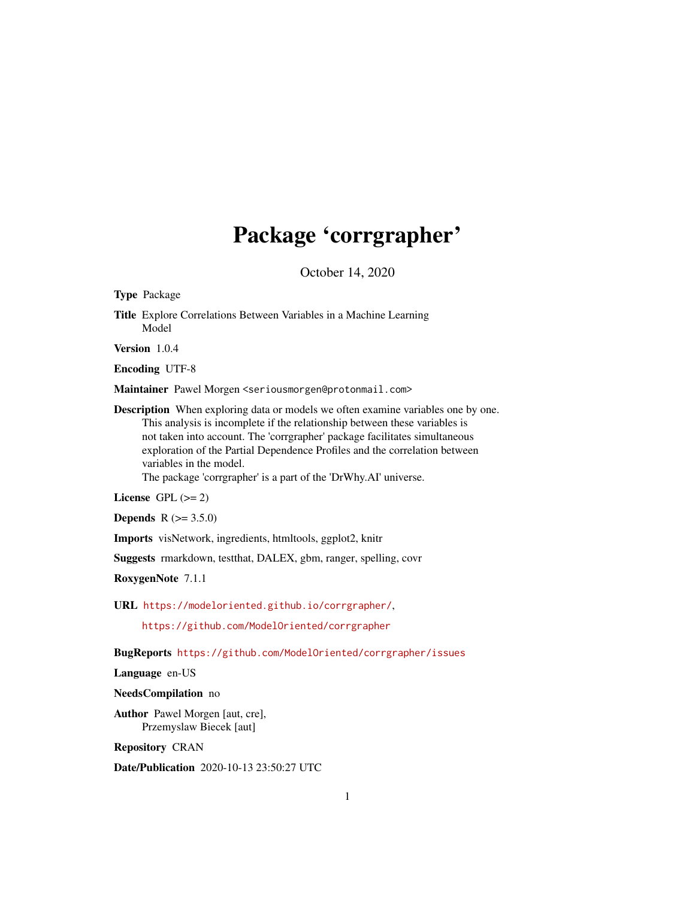## Package 'corrgrapher'

October 14, 2020

<span id="page-0-0"></span>Type Package

Title Explore Correlations Between Variables in a Machine Learning Model

Version 1.0.4

Encoding UTF-8

Maintainer Pawel Morgen <seriousmorgen@protonmail.com>

Description When exploring data or models we often examine variables one by one. This analysis is incomplete if the relationship between these variables is not taken into account. The 'corrgrapher' package facilitates simultaneous exploration of the Partial Dependence Profiles and the correlation between variables in the model.

The package 'corrgrapher' is a part of the 'DrWhy.AI' universe.

License GPL  $(>= 2)$ 

**Depends**  $R (= 3.5.0)$ 

Imports visNetwork, ingredients, htmltools, ggplot2, knitr

Suggests rmarkdown, testthat, DALEX, gbm, ranger, spelling, covr

RoxygenNote 7.1.1

URL <https://modeloriented.github.io/corrgrapher/>,

<https://github.com/ModelOriented/corrgrapher>

BugReports <https://github.com/ModelOriented/corrgrapher/issues>

Language en-US

NeedsCompilation no

Author Pawel Morgen [aut, cre], Przemyslaw Biecek [aut]

Repository CRAN

Date/Publication 2020-10-13 23:50:27 UTC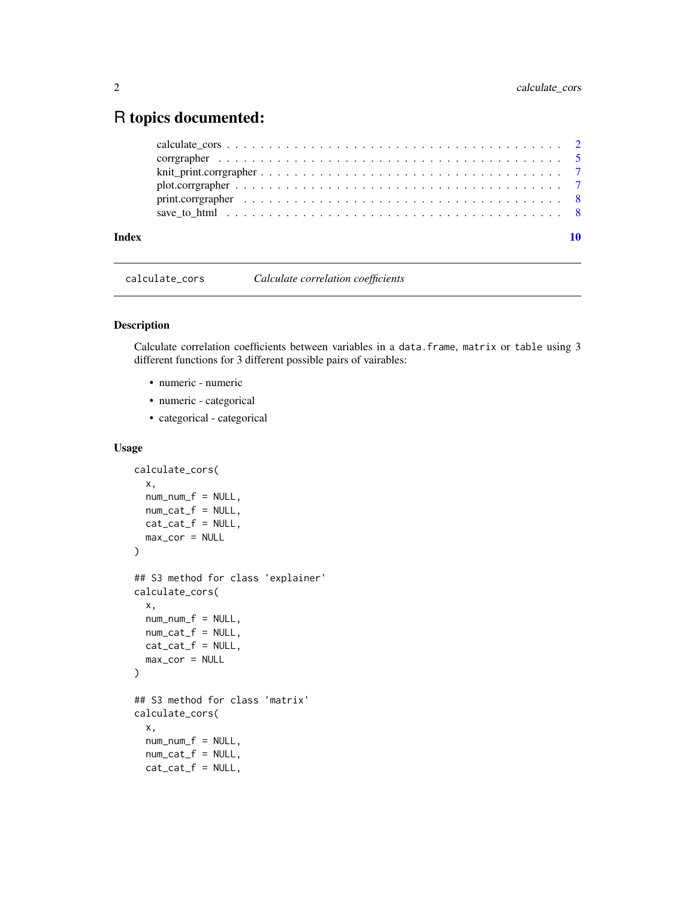### <span id="page-1-0"></span>R topics documented:

| Index |                                                                                                            |  |
|-------|------------------------------------------------------------------------------------------------------------|--|
|       |                                                                                                            |  |
|       |                                                                                                            |  |
|       |                                                                                                            |  |
|       |                                                                                                            |  |
|       | correspondent $\ldots \ldots \ldots \ldots \ldots \ldots \ldots \ldots \ldots \ldots \ldots \ldots \ldots$ |  |
|       |                                                                                                            |  |

<span id="page-1-1"></span>calculate\_cors *Calculate correlation coefficients*

#### Description

Calculate correlation coefficients between variables in a data.frame, matrix or table using 3 different functions for 3 different possible pairs of vairables:

- numeric numeric
- numeric categorical
- categorical categorical

#### Usage

```
calculate_cors(
  x,
  num\_num_f = NULL,num\_cat_f = NULL,cat\_cat_f = NULL,max_cor = NULL
)
## S3 method for class 'explainer'
calculate_cors(
 x,
 num\_num_f = NULL,num\_cat_f = NULL,cat\_cat_f = NULL,max_cor = NULL
)
## S3 method for class 'matrix'
calculate_cors(
  x,
  num\_num_f = NULL,num\_cat_f = NULL,cat\_cat_f = NULL,
```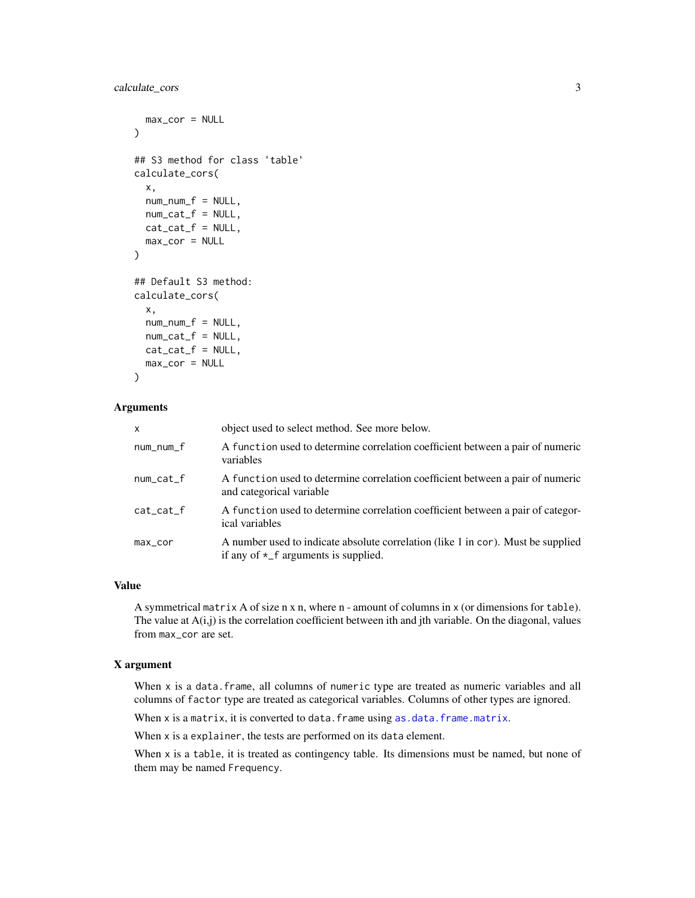#### <span id="page-2-0"></span>calculate\_cors 3

```
max_cor = NULL
\lambda## S3 method for class 'table'
calculate_cors(
  x,
  num\_num_f = NULL,num\_cat_f = NULL,cat\_cat_f = NULL,max_cor = NULL
)
## Default S3 method:
calculate_cors(
  x,
  num\_num\_f = NULL,num\_cat_f = NULL,cat\_cat_f = NULL,max\_cor = NULL
```
#### )

#### Arguments

| $\mathsf{x}$  | object used to select method. See more below.                                                                                   |
|---------------|---------------------------------------------------------------------------------------------------------------------------------|
| num_num_f     | A function used to determine correlation coefficient between a pair of numeric<br>variables                                     |
| $num\_cat_f$  | A function used to determine correlation coefficient between a pair of numeric<br>and categorical variable                      |
| $cat\_cat\_f$ | A function used to determine correlation coefficient between a pair of categor-<br>ical variables                               |
| $max\_cor$    | A number used to indicate absolute correlation (like 1 in cor). Must be supplied<br>if any of $\star$ _f arguments is supplied. |

#### Value

A symmetrical matrix A of size n x n, where n - amount of columns in x (or dimensions for table). The value at  $A(i,j)$  is the correlation coefficient between ith and jth variable. On the diagonal, values from max\_cor are set.

#### X argument

When x is a data.frame, all columns of numeric type are treated as numeric variables and all columns of factor type are treated as categorical variables. Columns of other types are ignored.

When  $x$  is a matrix, it is converted to data. frame using  $as.data.f$ rame.matrix.

When x is a explainer, the tests are performed on its data element.

When x is a table, it is treated as contingency table. Its dimensions must be named, but none of them may be named Frequency.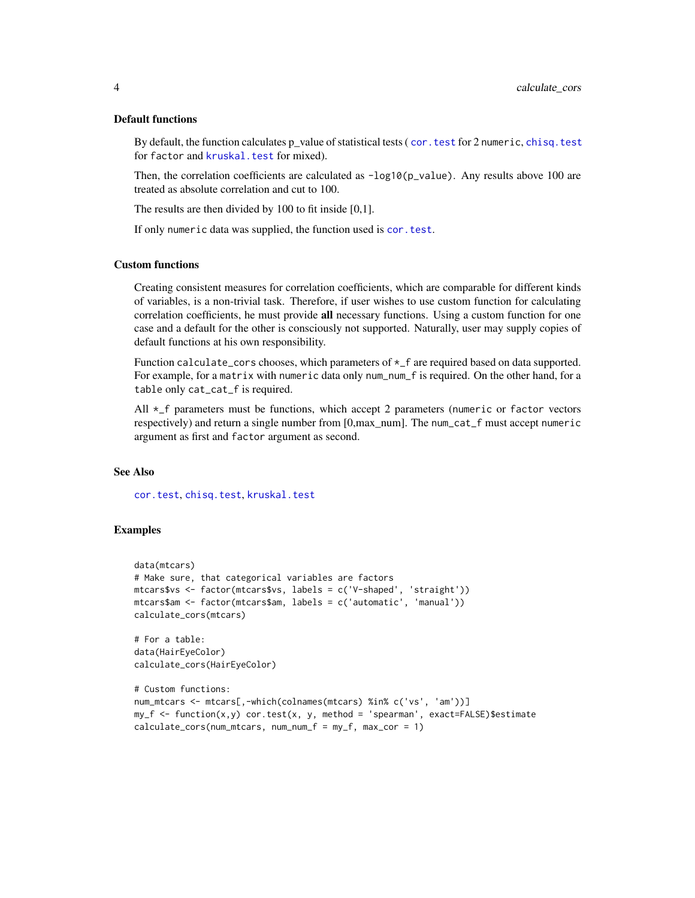#### <span id="page-3-0"></span>Default functions

By default, the function calculates p\_value of statistical tests ( cor. test for 2 numeric, [chisq.test](#page-0-0) for factor and [kruskal.test](#page-0-0) for mixed).

Then, the correlation coefficients are calculated as  $-\log 10(p_{\text{value}})$ . Any results above 100 are treated as absolute correlation and cut to 100.

The results are then divided by 100 to fit inside [0,1].

If only numeric data was supplied, the function used is [cor.test](#page-0-0).

#### Custom functions

Creating consistent measures for correlation coefficients, which are comparable for different kinds of variables, is a non-trivial task. Therefore, if user wishes to use custom function for calculating correlation coefficients, he must provide all necessary functions. Using a custom function for one case and a default for the other is consciously not supported. Naturally, user may supply copies of default functions at his own responsibility.

Function calculate\_cors chooses, which parameters of  $\star$ \_f are required based on data supported. For example, for a matrix with numeric data only num\_num\_f is required. On the other hand, for a table only cat\_cat\_f is required.

All  $\star$ <sub>-f</sub> parameters must be functions, which accept 2 parameters (numeric or factor vectors respectively) and return a single number from [0,max\_num]. The num\_cat\_f must accept numeric argument as first and factor argument as second.

#### See Also

[cor.test](#page-0-0), [chisq.test](#page-0-0), [kruskal.test](#page-0-0)

#### Examples

```
data(mtcars)
# Make sure, that categorical variables are factors
mtcars$vs <- factor(mtcars$vs, labels = c('V-shaped', 'straight'))
mtcars$am <- factor(mtcars$am, labels = c('automatic', 'manual'))
calculate_cors(mtcars)
# For a table:
data(HairEyeColor)
calculate_cors(HairEyeColor)
# Custom functions:
num_mtcars <- mtcars[,-which(colnames(mtcars) %in% c('vs', 'am'))]
my_f <- function(x,y) cor.test(x, y, method = 'spearman', exact=FALSE)$estimate
calculate_cors(num_mtcars, num_num_f = my_f, max_cor = 1)
```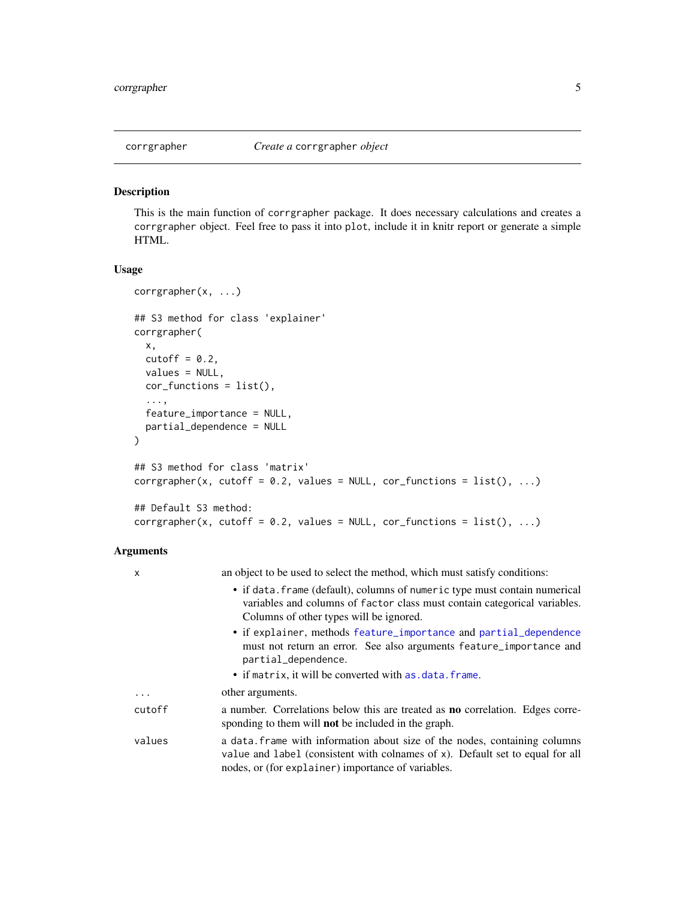<span id="page-4-1"></span><span id="page-4-0"></span>

#### Description

This is the main function of corrgrapher package. It does necessary calculations and creates a corrgrapher object. Feel free to pass it into plot, include it in knitr report or generate a simple HTML.

#### Usage

```
corrgrapher(x, ...)
## S3 method for class 'explainer'
corrgrapher(
 x,
 cutoff = 0.2,
 values = NULL,
 cor_functions = list(),
  ...,
  feature_importance = NULL,
 partial_dependence = NULL
)
## S3 method for class 'matrix'
corrgrapher(x, cutoff = 0.2, values = NULL, cor_functions = list(), ...)## Default S3 method:
corrgrapher(x, cutoff = 0.2, values = NULL, cor_functions = list(), ...)
```
#### Arguments

| $\mathsf{x}$ | an object to be used to select the method, which must satisfy conditions:                                                                                                                                         |
|--------------|-------------------------------------------------------------------------------------------------------------------------------------------------------------------------------------------------------------------|
|              | • if data. frame (default), columns of numeric type must contain numerical<br>variables and columns of factor class must contain categorical variables.<br>Columns of other types will be ignored.                |
|              | • if explainer, methods feature_importance and partial_dependence<br>must not return an error. See also arguments feature_importance and<br>partial_dependence.                                                   |
|              | • if matrix, it will be converted with as data. frame.                                                                                                                                                            |
| $\cdots$     | other arguments.                                                                                                                                                                                                  |
| cutoff       | a number. Correlations below this are treated as <b>no</b> correlation. Edges corre-<br>sponding to them will <b>not</b> be included in the graph.                                                                |
| values       | a data. Frame with information about size of the nodes, containing columns<br>value and label (consistent with colnames of x). Default set to equal for all<br>nodes, or (for explainer) importance of variables. |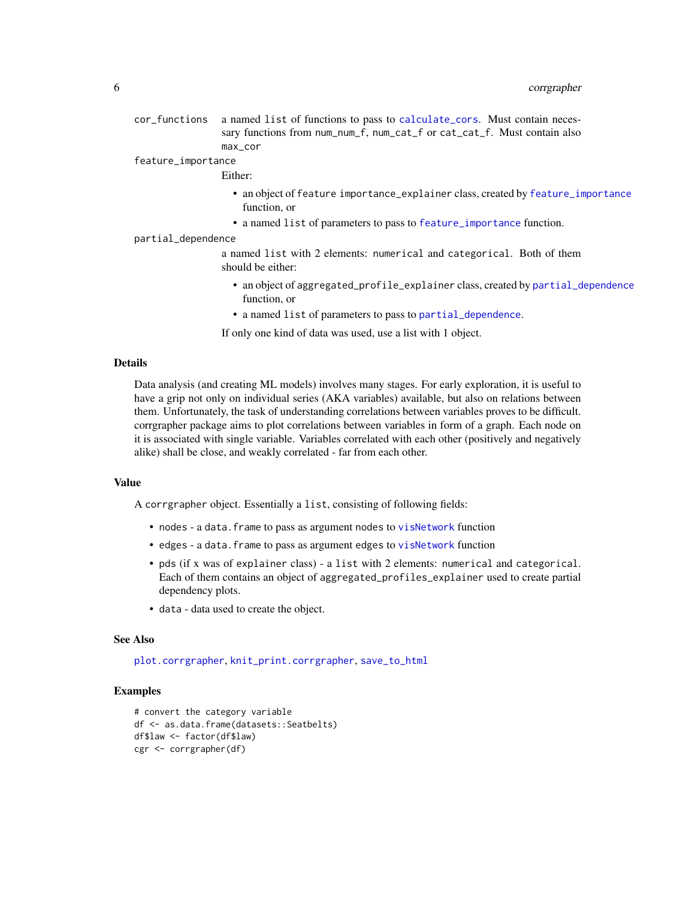<span id="page-5-0"></span>cor\_functions a named list of functions to pass to [calculate\\_cors](#page-1-1). Must contain necessary functions from num\_num\_f, num\_cat\_f or cat\_cat\_f. Must contain also max\_cor

#### feature\_importance

#### Either:

- an object of feature importance\_explainer class, created by [feature\\_importance](#page-0-0) function, or
- a named list of parameters to pass to [feature\\_importance](#page-0-0) function.

#### partial\_dependence

a named list with 2 elements: numerical and categorical. Both of them should be either:

- an object of aggregated\_profile\_explainer class, created by [partial\\_dependence](#page-0-0) function, or
- a named list of parameters to pass to [partial\\_dependence](#page-0-0).

If only one kind of data was used, use a list with 1 object.

#### Details

Data analysis (and creating ML models) involves many stages. For early exploration, it is useful to have a grip not only on individual series (AKA variables) available, but also on relations between them. Unfortunately, the task of understanding correlations between variables proves to be difficult. corrgrapher package aims to plot correlations between variables in form of a graph. Each node on it is associated with single variable. Variables correlated with each other (positively and negatively alike) shall be close, and weakly correlated - far from each other.

#### Value

A corrgrapher object. Essentially a list, consisting of following fields:

- nodes a data. frame to pass as argument nodes to [visNetwork](#page-0-0) function
- edges a data. frame to pass as argument edges to [visNetwork](#page-0-0) function
- pds (if x was of explainer class) a list with 2 elements: numerical and categorical. Each of them contains an object of aggregated\_profiles\_explainer used to create partial dependency plots.
- data data used to create the object.

#### See Also

[plot.corrgrapher](#page-6-1), [knit\\_print.corrgrapher](#page-6-2), [save\\_to\\_html](#page-7-1)

#### Examples

```
# convert the category variable
df <- as.data.frame(datasets::Seatbelts)
df$law <- factor(df$law)
cgr <- corrgrapher(df)
```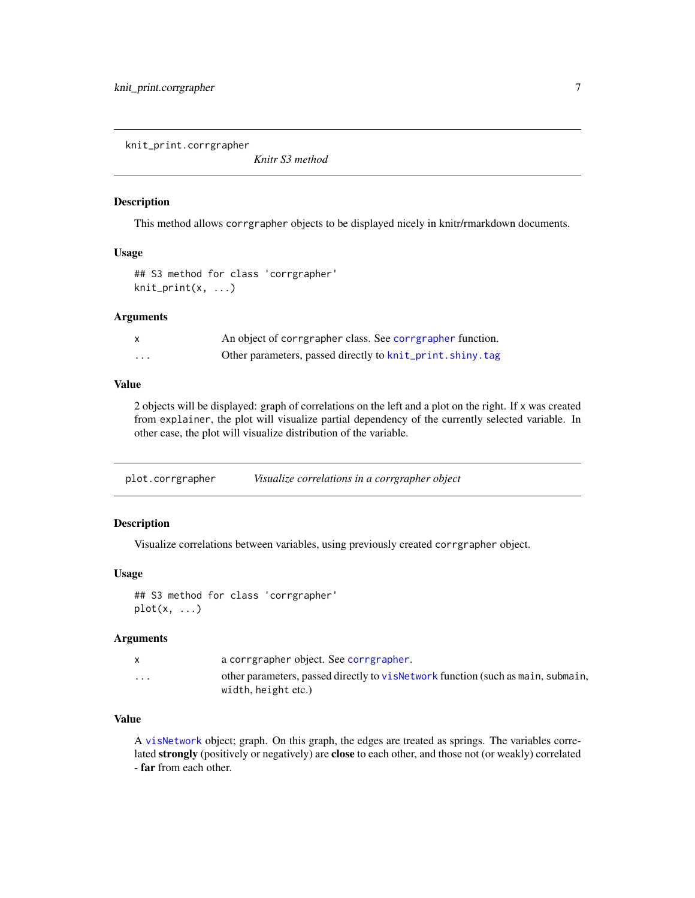<span id="page-6-2"></span><span id="page-6-0"></span>knit\_print.corrgrapher

*Knitr S3 method*

#### Description

This method allows corrgrapher objects to be displayed nicely in knitr/rmarkdown documents.

#### Usage

## S3 method for class 'corrgrapher' knit\_print(x, ...)

#### Arguments

|   | An object of corrgrapher class. See corrgrapher function. |
|---|-----------------------------------------------------------|
| . | Other parameters, passed directly to knit_print.shiny.tag |

#### Value

2 objects will be displayed: graph of correlations on the left and a plot on the right. If x was created from explainer, the plot will visualize partial dependency of the currently selected variable. In other case, the plot will visualize distribution of the variable.

<span id="page-6-1"></span>plot.corrgrapher *Visualize correlations in a corrgrapher object*

#### Description

Visualize correlations between variables, using previously created corrgrapher object.

#### Usage

## S3 method for class 'corrgrapher'  $plot(x, \ldots)$ 

#### Arguments

|                         | a corrgrapher object. See corrgrapher.                                                                   |
|-------------------------|----------------------------------------------------------------------------------------------------------|
| $\cdot$ $\cdot$ $\cdot$ | other parameters, passed directly to vis Network function (such as main, submain,<br>width, height etc.) |

#### Value

A [visNetwork](#page-0-0) object; graph. On this graph, the edges are treated as springs. The variables correlated strongly (positively or negatively) are close to each other, and those not (or weakly) correlated - far from each other.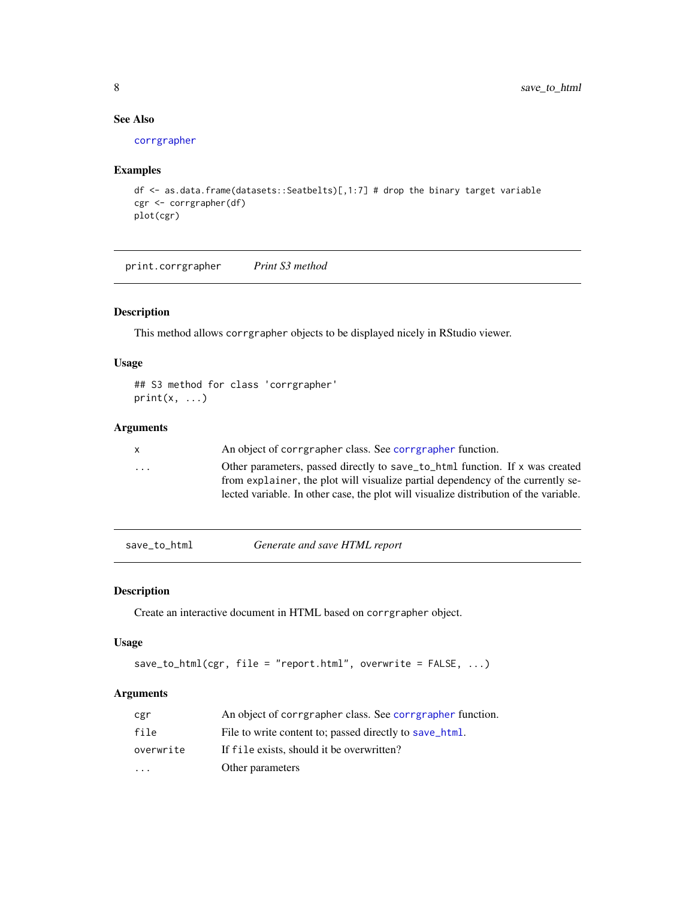#### See Also

[corrgrapher](#page-4-1)

#### Examples

```
df <- as.data.frame(datasets::Seatbelts)[,1:7] # drop the binary target variable
cgr <- corrgrapher(df)
plot(cgr)
```
print.corrgrapher *Print S3 method*

#### Description

This method allows corrgrapher objects to be displayed nicely in RStudio viewer.

#### Usage

```
## S3 method for class 'corrgrapher'
print(x, \ldots)
```
#### Arguments

| $\mathsf{x}$            | An object of corrgrapher class. See corrgrapher function.                                                                                                                                                                                                |
|-------------------------|----------------------------------------------------------------------------------------------------------------------------------------------------------------------------------------------------------------------------------------------------------|
| $\cdot$ $\cdot$ $\cdot$ | Other parameters, passed directly to save_to_html function. If x was created<br>from explainer, the plot will visualize partial dependency of the currently se-<br>lected variable. In other case, the plot will visualize distribution of the variable. |
|                         |                                                                                                                                                                                                                                                          |

<span id="page-7-1"></span>save\_to\_html *Generate and save HTML report*

#### Description

Create an interactive document in HTML based on corrgrapher object.

#### Usage

```
save_to_thml(cgr, file = "report.html", overwrite = FALSE, ...)
```
#### Arguments

| cgr       | An object of corrgrapher class. See corrgrapher function. |
|-----------|-----------------------------------------------------------|
| file      | File to write content to; passed directly to save_html.   |
| overwrite | If file exists, should it be overwritten?                 |
| $\ddotsc$ | Other parameters                                          |

<span id="page-7-0"></span>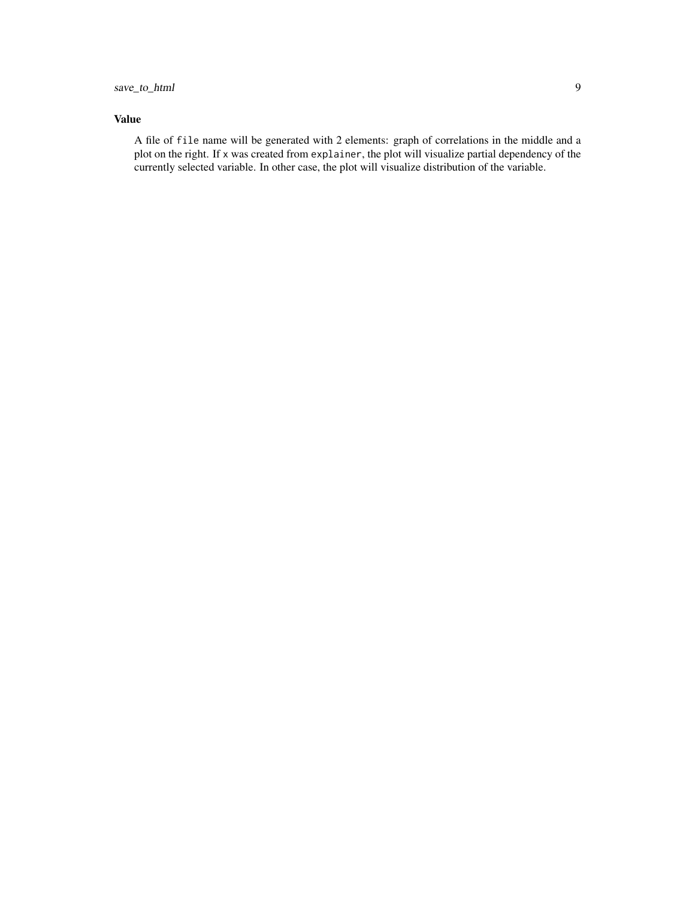#### Value

A file of file name will be generated with 2 elements: graph of correlations in the middle and a plot on the right. If x was created from explainer, the plot will visualize partial dependency of the currently selected variable. In other case, the plot will visualize distribution of the variable.